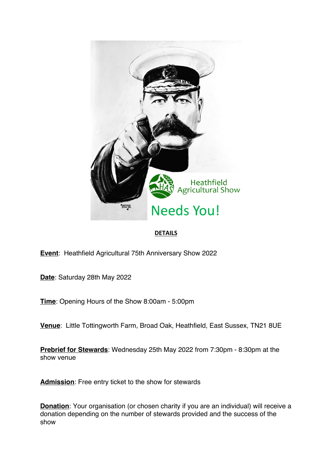

## **DETAILS**

**Event**: Heathfield Agricultural 75th Anniversary Show 2022

**Date**: Saturday 28th May 2022

**Time**: Opening Hours of the Show 8:00am - 5:00pm

**Venue**: Little Tottingworth Farm, Broad Oak, Heathfield, East Sussex, TN21 8UE

**Prebrief for Stewards**: Wednesday 25th May 2022 from 7:30pm - 8:30pm at the show venue

**Admission**: Free entry ticket to the show for stewards

**Donation**: Your organisation (or chosen charity if you are an individual) will receive a donation depending on the number of stewards provided and the success of the show